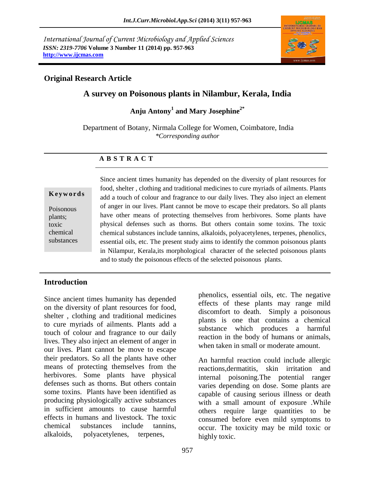*International Journal of Current Microbiology and Applied Sciences ISSN: 2319-7706* **Volume 3 Number 11 (2014) pp. 957-963 http://www.ijcmas.com**



# **Original Research Article**

# **A survey on Poisonous plants in Nilambur, Kerala, India**

**Anju Antony<sup>1</sup> and Mary Josephine2\***

Department of Botany, Nirmala College for Women, Coimbatore, India *\*Corresponding author* 

# **A B S T R A C T**

## **K e y w o r d s**

Poisonous plants; toxic chemical substances Since ancient times humanity has depended on the diversity of plant resources for food, shelter , clothing and traditional medicines to cure myriads of ailments. Plants add a touch of colour and fragrance to our daily lives. They also inject an element of anger in our lives. Plant cannot be move to escape their predators. So all plants have other means of protecting themselves from herbivores. Some plants have physical defenses such as thorns. But others contain some toxins. The toxic chemical substances include tannins, alkaloids, polyacetylenes, terpenes, phenolics, essential oils, etc. The present study aims to identify the common poisonous plants in Nilampur, Kerala,its morphological character of the selected poisonous plants and to study the poisonous effects of the selected poisonous plants.

# **Introduction**

Since ancient times humanity has depended on the diversity of plant resources for food, shelter , clothing and traditional medicines to cure myriads of ailments. Plants add a touch of colour and fragrance to our daily lives. They also inject an element of anger in our lives. Plant cannot be move to escape their predators. So all the plants have other means of protecting themselves from the herbivores. Some plants have physical defenses such as thorns. But others contain some toxins. Plants have been identified as producing physiologically active substances in sufficient amounts to cause harmful effects in humans and livestock. The toxic chemical substances include tannins, alkaloids, polyacetylenes, terpenes,

phenolics, essential oils, etc. The negative effects of these plants may range mild discomfort to death. Simply a poisonous plants is one that contains a chemical substance which produces a harmful reaction in the body of humans or animals, when taken in small or moderate amount.

An harmful reaction could include allergic reactions,dermatitis, skin irritation and internal poisoning.The potential ranger varies depending on dose. Some plants are capable of causing serious illness or death with a small amount of exposure .While others require large quantities to be consumed before even mild symptoms to occur. The toxicity may be mild toxic or highly toxic.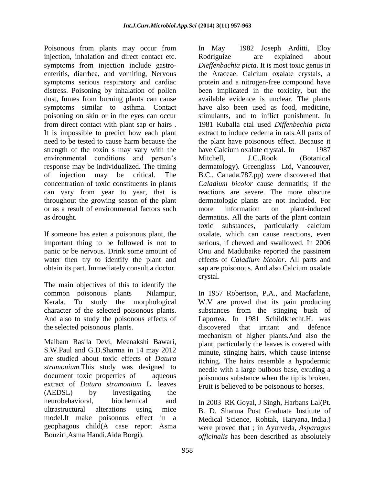Poisonous from plants may occur from injection, inhalation and direct contact etc. symptoms from injection include gastroenteritis, diarrhea, and vomiting, Nervous symptoms serious respiratory and cardiac distress. Poisoning by inhalation of pollen dust, fumes from burning plants can cause symptoms similar to asthma. Contact poisoning on skin or in the eyes can occur from direct contact with plant sap or hairs . It is impossible to predict how each plant need to be tested to cause harm because the strength of the toxin s may vary with the environmental conditions and person's response may be individualized. The timing of injection may be critical. The concentration of toxic constituents in plants can vary from year to year, that is throughout the growing season of the plant or as a result of environmental factors such as drought.

If someone has eaten a poisonous plant, the important thing to be followed is not to panic or be nervous. Drink some amount of water then try to identify the plant and obtain its part. Immediately consult a doctor.

The main objectives of this to identify the common poisonous plants Nilampur, Kerala. To study the morphological character of the selected poisonous plants. And also to study the poisonous effects of the selected poisonous plants.

Maibam Rasila Devi, Meenakshi Bawari, S.W.Paul and G.D.Sharma in 14 may 2012 are studied about toxic effects of *Datura stramonium.*This study was designed to document toxic properties of aqueous extract of *Datura stramonium* L. leaves (AEDSL) by investigating the neurobehavioral, biochemical and ultrastructural alterations using mice model.It make poisonous effect in a geophagous child(A case report Asma Bouziri,Asma Handi,Aida Borgi).

In May 1982 Joseph Arditti, Eloy Rodriguize are explained about *Dieffenbachia picta*. It is most toxic genus in the Araceae. Calcium oxalate crystals, a protein and a nitrogen-free compound have been implicated in the toxicity, but the available evidence is unclear. The plants have also been used as food, medicine, stimulants, and to inflict punishment. In 1981 Kuballa etal used *Diffenbechia picta*  extract to induce cedema in rats.All parts of the plant have poisonous effect. Because it have Calcium oxalate crystal. In 1987 Mitchell, J.C.,Rook (Botanical dermatology). Greenglass Ltd, Vancouver, B.C., Canada.787.pp) were discovered that *Caladium bicolor* cause dermatitis; if the reactions are severe. The more obscure dermatologic plants are not included. For more information on plant-induced dermatitis. All the parts of the plant contain toxic substances, particularly calcium oxalate, which can cause reactions, even serious, if chewed and swallowed. In 2006 Onu and Madubaike reported the passinem effects of *Caladium bicolor*. All parts and sap are poisonous. And also Calcium oxalate crystal.

In 1957 Robertson, P.A., and Macfarlane, W.V are proved that its pain producing substances from the stinging bush of Laportea. In 1981 Schildknecht.H. was discovered that irritant and defence mechanism of higher plants.And also the plant, particularly the leaves is covered with minute, stinging hairs, which cause intense itching. The hairs resemble a hypodermic needle with a large bulbous base, exuding a poisonous substance when the tip is broken. Fruit is believed to be poisonous to horses.

In 2003 RK Goyal, J Singh, Harbans Lal(Pt. B. D. Sharma Post Graduate Institute of Medical Science, Rohtak, Haryana, India.) were proved that ; in Ayurveda, *Asparagus officinalis* has been described as absolutely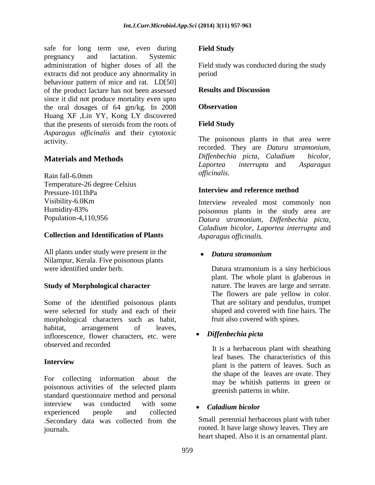safe for long term use, even during pregnancy and lactation. Systemic administration of higher doses of all the extracts did not produce any abnormality in behaviour pattern of mice and rat. LD[50] of the product lactare has not been assessed since it did not produce mortality even upto the oral dosages of 64 gm/kg. In 2008 Huang XF ,Lin YY, Kong LY discovered that the presents of steroids from the roots of *Asparagus officinalis* and their cytotoxic activity.

# **Materials and Methods**

Rain fall-6.0mm Temperature-26 degree Celsius Pressure-1011hPa Visibility-6.0Km Humidity-83% Population-4,110,956

# **Collection and Identification of Plants**

All plants under study were present in the Nilampur, Kerala. Five poisonous plants were identified under herb.

# **Study of Morphological character**

Some of the identified poisonous plants were selected for study and each of their morphological characters such as habit, habitat, arrangement of leaves, inflorescence, flower characters, etc. were observed and recorded

# **Interview**

For collecting information about the poisonous activities of the selected plants standard questionnaire method and personal interview was conducted with some experienced people and collected .Secondary data was collected from the journals.

## **Field Study**

Field study was conducted during the study period

### **Results and Discussion**

## **Observation**

# **Field Study**

The poisonous plants in that area were recorded. They are *Datura stramonium, Diffenbechia picta, Caladium bicolor, Laportea interrupta* and *Asparagus officinalis.*

## **Interview and reference method**

Interview revealed most commonly non poisonous plants in the study area are *Datura stramonium, Diffenbechia picta, Caladium bicolor, Laportea interrupta* and *Asparagus officinalis.*

### *Datura stramonium*

Datura stramonium is a siny herbicious plant. The whole plant is glaberous in nature. The leaves are large and serrate. The flowers are pale yellow in color. That are solitary and pendulus, trumpet shaped and covered with fine hairs. The fruit also covered with spines.

# *Diffenbechia picta*

It is a herbaceous plant with sheathing leaf bases. The characteristics of this plant is the pattern of leaves. Such as the shape of the leaves are ovate. They may be whitish patterns in green or greenish patterns in white.

### *Caladium bicolor*

Small perennial herbaceous plant with tuber rooted. It have large showy leaves. They are heart shaped. Also it is an ornamental plant.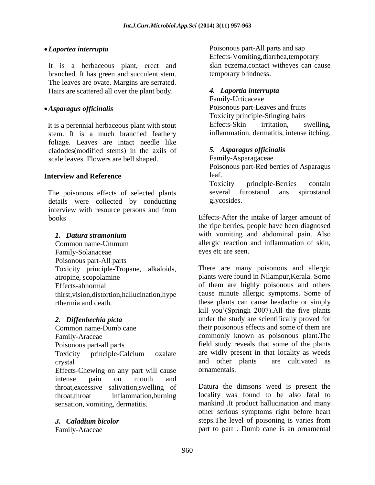## *Laportea interrupta*

It is a herbaceous plant, erect and branched. It has green and succulent stem. The leaves are ovate. Margins are serrated. Hairs are scattered all over the plant body.

## *Asparagus officinalis*

 It is a perennial herbaceous plant with stout stem. It is a much branched feathery foliage. Leaves are intact needle like cladodes(modified stems) in the axils of scale leaves. Flowers are bell shaped.

### **Interview and Reference**

The poisonous effects of selected plants details were collected by conducting interview with resource persons and from books

## *1. Datura stramonium*

Common name-Ummum Family-Solanaceae Poisonous part-All parts Toxicity principle-Tropane, alkaloids, atropine, scopolamine Effects-abnormal thirst,vision,distortion,hallucination,hype rthermia and death*.*

### *2. Diffenbechia picta*

Common name-Dumb cane Family-Araceae Poisonous part-all parts Toxicity principle-Calcium oxalate crystal Effects-Chewing on any part will cause

intense pain on mouth and throat,excessive salivation,swelling of throat,throat inflammation,burning sensation, vomiting, dermatitis.

### *3. Caladium bicolor*

Family-Araceae

Poisonous part-All parts and sap Effects-Vomiting,diarrhea,temporary skin eczema,contact witheyes can cause temporary blindness.

## *4. Laportia interrupta*

Family-Urticaceae Poisonous part-Leaves and fruits Toxicity principle-Stinging hairs Effects-Skin irritation, swelling, inflammation, dermatitis, intense itching.

### *5. Asparagus officinalis*

Family-Asparagaceae Poisonous part-Red berries of Asparagus leaf. Toxicity principle-Berries contain

several furostanol ans spirostanol glycosides.

Effects-After the intake of larger amount of the ripe berries, people have been diagnosed with vomiting and abdominal pain. Also allergic reaction and inflammation of skin, eyes etc are seen.

There are many poisonous and allergic plants were found in Nilampur,Kerala. Some of them are highly poisonous and others cause minute allergic symptoms. Some of these plants can cause headache or simply kill you'(Springh 2007).All the five plants under the study are scientifically proved for their poisonous effects and some of them are commonly known as poisonous plant.The field study reveals that some of the plants are widly present in that locality as weeds and other plants are cultivated as ornamentals.

Datura the dimsons weed is present the locality was found to be also fatal to mankind .It product hallucination and many other serious symptoms right before heart steps.The level of poisoning is varies from part to part . Dumb cane is an ornamental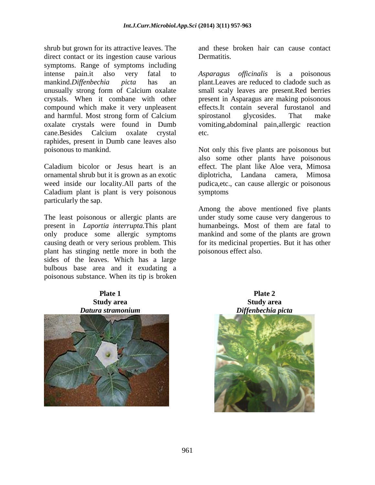shrub but grown for its attractive leaves. The direct contact or its ingestion cause various symptoms. Range of symptoms including intense pain.it also very fatal to mankind.*Diffenbechia picta* has an unusually strong form of Calcium oxalate crystals. When it combane with other compound which make it very unpleasent and harmful. Most strong form of Calcium oxalate crystals were found in Dumb cane.Besides Calcium oxalate crystal raphides, present in Dumb cane leaves also poisonous to mankind.

Caladium bicolor or Jesus heart is an ornamental shrub but it is grown as an exotic weed inside our locality.All parts of the Caladium plant is plant is very poisonous particularly the sap.

The least poisonous or allergic plants are present in *Laportia interrupta.*This plant only produce some allergic symptoms causing death or very serious problem. This plant has stinging nettle more in both the sides of the leaves. Which has a large bulbous base area and it exudating a poisonous substance. When its tip is broken

#### **Plate 1 Study area** *Datura stramonium*



and these broken hair can cause contact Dermatitis.

*Asparagus officinalis* is a poisonous plant.Leaves are reduced to cladode such as small scaly leaves are present.Red berries present in Asparagus are making poisonous effects.It contain several furostanol and spirostanol glycosides. That make vomiting,abdominal pain,allergic reaction etc.

Not only this five plants are poisonous but also some other plants have poisonous effect. The plant like Aloe vera, Mimosa diplotricha, Landana camera, Mimosa pudica,etc., can cause allergic or poisonous symptoms

Among the above mentioned five plants under study some cause very dangerous to humanbeings. Most of them are fatal to mankind and some of the plants are grown for its medicinal properties. But it has other poisonous effect also.

> **Plate 2 Study area** *Diffenbechia picta*

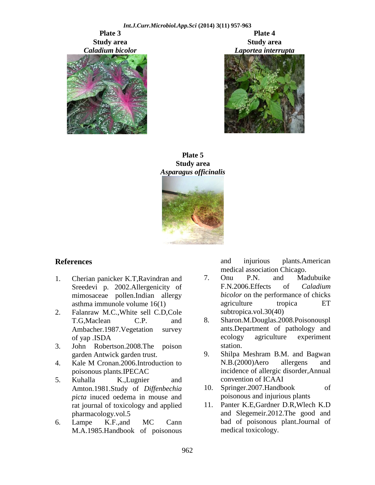**Plate 3 Study area** *Caladium bicolor*

*Int.J.Curr.Microbiol.App.Sci* **(2014) 3(11) 957-963 Plate 4 Study area** *Laportea interrupta*





### **Plate 5 Study area** *Asparagus officinalis*



# **References**

- 1. Cherian panicker K.T,Ravindran and Sreedevi p. 2002.Allergenicity of mimosaceae pollen.Indian allergy asthma immunole volume 16(1)
- 2. Falanraw M.C.,White sell C.D,Cole T.G,Maclean C.P. and Ambacher.1987.Vegetation survey of yap .ISDA
- 3. John Robertson.2008.The poison garden Antwick garden trust.
- 4. Kale M Cronan.2006.Introduction to poisonous plants.IPECAC
- 5. Kuhalla K.,Lugnier and Amton.1981.Study of *Diffenbechia picta* inuced oedema in mouse and rat journal of toxicology and applied pharmacology.vol.5
- 6. Lampe K.F.,and MC Cann M.A.1985.Handbook of poisonous

and injurious plants.American medical association Chicago.

- 7. Onu P.N. and Madubuike F.N.2006.Effects of *Caladium bicolor* on the performance of chicks agriculture tropica ET subtropica.vol.30(40)
- 8. Sharon.M.Douglas.2008.Poisonouspl ants.Department of pathology and ecology agriculture experiment station.
- 9. Shilpa Meshram B.M. and Bagwan N.B.(2000)Aero allergens and incidence of allergic disorder,Annual convention of ICAAI
- 10. Springer.2007.Handbook of poisonous and injurious plants
- 11. Panter K.E,Gardner D.R,Wlech K.D and Slegemeir.2012.The good and bad of poisonous plant.Journal of medical toxicology.